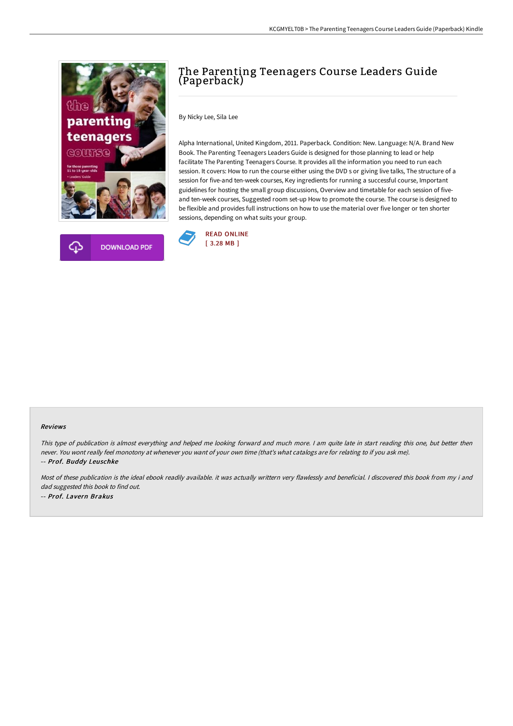



## The Parenting Teenagers Course Leaders Guide (Paperback)

By Nicky Lee, Sila Lee

Alpha International, United Kingdom, 2011. Paperback. Condition: New. Language: N/A. Brand New Book. The Parenting Teenagers Leaders Guide is designed for those planning to lead or help facilitate The Parenting Teenagers Course. It provides all the information you need to run each session. It covers: How to run the course either using the DVD s or giving live talks, The structure of a session for five-and ten-week courses, Key ingredients for running a successful course, Important guidelines for hosting the small group discussions, Overview and timetable for each session of fiveand ten-week courses, Suggested room set-up How to promote the course. The course is designed to be flexible and provides full instructions on how to use the material over five longer or ten shorter sessions, depending on what suits your group.



## Reviews

This type of publication is almost everything and helped me looking forward and much more. <sup>I</sup> am quite late in start reading this one, but better then never. You wont really feel monotony at whenever you want of your own time (that's what catalogs are for relating to if you ask me). -- Prof. Buddy Leuschke

Most of these publication is the ideal ebook readily available. it was actually writtern very flawlessly and beneficial. I discovered this book from my i and dad suggested this book to find out. -- Prof. Lavern Brakus